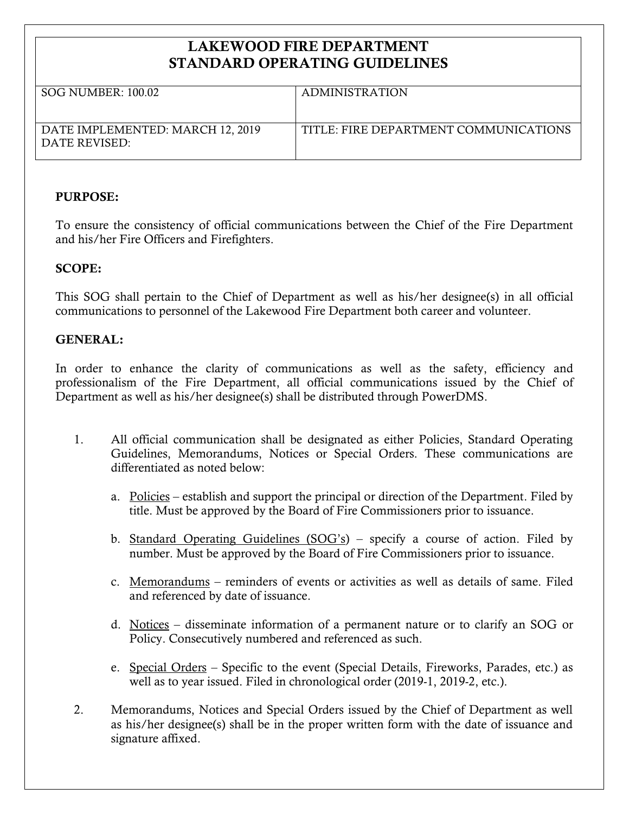## **LAKEWOOD FIRE DEPARTMENT STANDARD OPERATING GUIDELINES**

| SOG NUMBER: 100.02               | <b>ADMINISTRATION</b>                 |
|----------------------------------|---------------------------------------|
|                                  |                                       |
|                                  |                                       |
|                                  |                                       |
| DATE IMPLEMENTED: MARCH 12, 2019 | TITLE: FIRE DEPARTMENT COMMUNICATIONS |
|                                  |                                       |
| DATE REVISED:                    |                                       |
|                                  |                                       |
|                                  |                                       |

## **PURPOSE:**

To ensure the consistency of official communications between the Chief of the Fire Department and his/her Fire Officers and Firefighters.

## **SCOPE:**

This SOG shall pertain to the Chief of Department as well as his/her designee(s) in all official communications to personnel of the Lakewood Fire Department both career and volunteer.

## **GENERAL:**

In order to enhance the clarity of communications as well as the safety, efficiency and professionalism of the Fire Department, all official communications issued by the Chief of Department as well as his/her designee(s) shall be distributed through PowerDMS.

- 1. All official communication shall be designated as either Policies, Standard Operating Guidelines, Memorandums, Notices or Special Orders. These communications are differentiated as noted below:
	- a. Policies establish and support the principal or direction of the Department. Filed by title. Must be approved by the Board of Fire Commissioners prior to issuance.
	- b. Standard Operating Guidelines (SOG's) specify a course of action. Filed by number. Must be approved by the Board of Fire Commissioners prior to issuance.
	- c. Memorandums reminders of events or activities as well as details of same. Filed and referenced by date of issuance.
	- d. Notices disseminate information of a permanent nature or to clarify an SOG or Policy. Consecutively numbered and referenced as such.
	- e. Special Orders Specific to the event (Special Details, Fireworks, Parades, etc.) as well as to year issued. Filed in chronological order (2019-1, 2019-2, etc.).
- 2. Memorandums, Notices and Special Orders issued by the Chief of Department as well as his/her designee(s) shall be in the proper written form with the date of issuance and signature affixed.